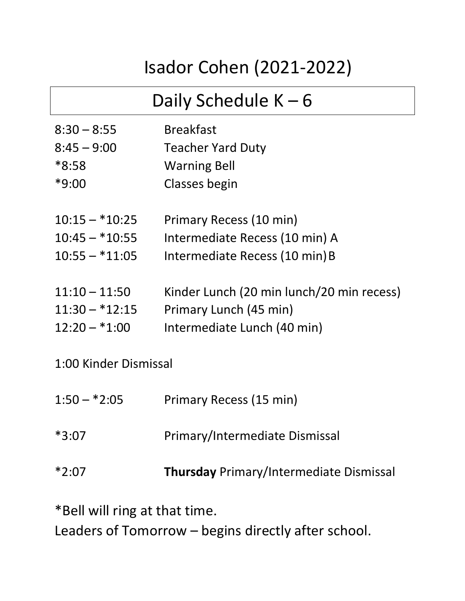## Isador Cohen (2021-2022)

## Daily Schedule K – 6

| $8:30 - 8:55$         | <b>Breakfast</b>                          |
|-----------------------|-------------------------------------------|
| $8:45 - 9:00$         | <b>Teacher Yard Duty</b>                  |
| $*8:58$               | <b>Warning Bell</b>                       |
| $*9:00$               | Classes begin                             |
| $10:15 - *10:25$      | Primary Recess (10 min)                   |
| $10:45 - *10:55$      | Intermediate Recess (10 min) A            |
| $10:55 - *11:05$      | Intermediate Recess (10 min) B            |
| $11:10 - 11:50$       | Kinder Lunch (20 min lunch/20 min recess) |
| $11:30 - *12:15$      | Primary Lunch (45 min)                    |
| $12:20 - *1:00$       | Intermediate Lunch (40 min)               |
| 1:00 Kinder Dismissal |                                           |
| $1:50 - *2:05$        | Primary Recess (15 min)                   |
| $*3:07$               | Primary/Intermediate Dismissal            |
|                       |                                           |

\*2:07 **Thursday** Primary/Intermediate Dismissal

\*Bell will ring at that time.

Leaders of Tomorrow – begins directly after school.